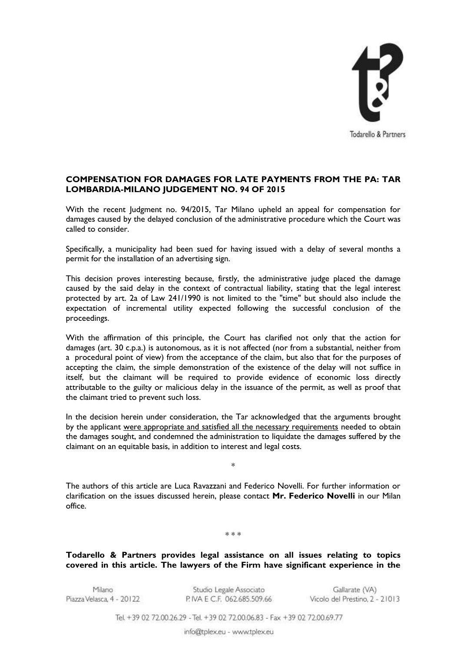

## **COMPENSATION FOR DAMAGES FOR LATE PAYMENTS FROM THE PA: TAR LOMBARDIA-MILANO JUDGEMENT NO. 94 OF 2015**

With the recent Judgment no. 94/2015, Tar Milano upheld an appeal for compensation for damages caused by the delayed conclusion of the administrative procedure which the Court was called to consider.

Specifically, a municipality had been sued for having issued with a delay of several months a permit for the installation of an advertising sign.

This decision proves interesting because, firstly, the administrative judge placed the damage caused by the said delay in the context of contractual liability, stating that the legal interest protected by art. 2a of Law 241/1990 is not limited to the "time" but should also include the expectation of incremental utility expected following the successful conclusion of the proceedings.

With the affirmation of this principle, the Court has clarified not only that the action for damages (art. 30 c.p.a.) is autonomous, as it is not affected (nor from a substantial, neither from a procedural point of view) from the acceptance of the claim, but also that for the purposes of accepting the claim, the simple demonstration of the existence of the delay will not suffice in itself, but the claimant will be required to provide evidence of economic loss directly attributable to the guilty or malicious delay in the issuance of the permit, as well as proof that the claimant tried to prevent such loss.

In the decision herein under consideration, the Tar acknowledged that the arguments brought by the applicant were appropriate and satisfied all the necessary requirements needed to obtain the damages sought, and condemned the administration to liquidate the damages suffered by the claimant on an equitable basis, in addition to interest and legal costs.

\*

The authors of this article are Luca Ravazzani and Federico Novelli. For further information or clarification on the issues discussed herein, please contact **Mr. Federico Novelli** in our Milan office.

\* \* \*

**Todarello & Partners provides legal assistance on all issues relating to topics covered in this article. The lawyers of the Firm have significant experience in the** 

Milano Piazza Velasca, 4 - 20122

Studio Legale Associato P. IVA E C.F. 062.685.509.66

Gallarate (VA) Vicolo del Prestino, 2 - 21013

Tel. +39 02 72.00.26.29 - Tel. +39 02 72.00.06.83 - Fax +39 02 72.00.69.77